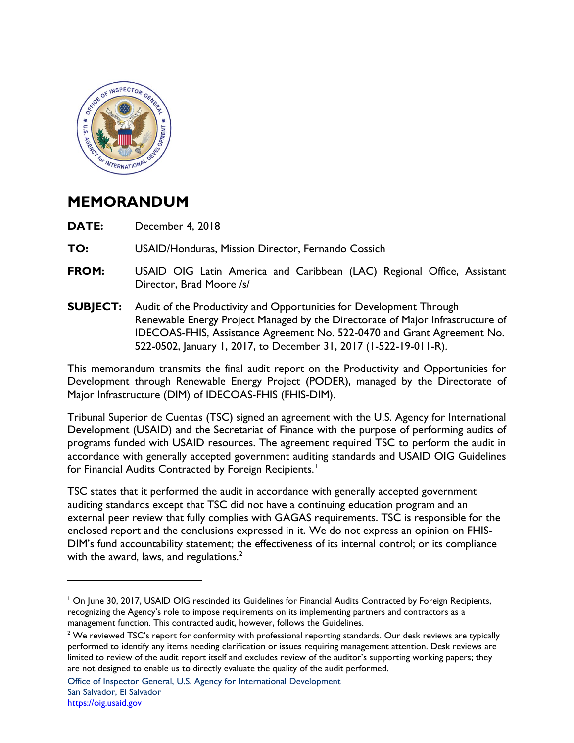

## **MEMORANDUM**

 $\overline{a}$ 

**DATE:** December 4, 2018

**TO:** USAID/Honduras, Mission Director, Fernando Cossich

- **FROM:** USAID OIG Latin America and Caribbean (LAC) Regional Office, Assistant Director, Brad Moore /s/
- **SUBJECT:** Audit of the Productivity and Opportunities for Development Through Renewable Energy Project Managed by the Directorate of Major Infrastructure of IDECOAS-FHIS, Assistance Agreement No. 522-0470 and Grant Agreement No. 522-0502, January 1, 2017, to December 31, 2017 (1-522-19-011-R).

This memorandum transmits the final audit report on the Productivity and Opportunities for Development through Renewable Energy Project (PODER), managed by the Directorate of Major Infrastructure (DIM) of IDECOAS-FHIS (FHIS-DIM).

Tribunal Superior de Cuentas (TSC) signed an agreement with the U.S. Agency for International Development (USAID) and the Secretariat of Finance with the purpose of performing audits of programs funded with USAID resources. The agreement required TSC to perform the audit in accordance with generally accepted government auditing standards and USAID OIG Guidelines for Financial Audits Contracted by Foreign Recipients. $^{\mathrm{!}}$ 

TSC states that it performed the audit in accordance with generally accepted government auditing standards except that TSC did not have a continuing education program and an external peer review that fully complies with GAGAS requirements. TSC is responsible for the enclosed report and the conclusions expressed in it. We do not express an opinion on FHIS-DIM's fund accountability statement; the effectiveness of its internal control; or its compliance with the award, laws, and regulations. $^2$  $^2$ 

<span id="page-0-0"></span><sup>&</sup>lt;sup>1</sup> On June 30, 2017, USAID OIG rescinded its Guidelines for Financial Audits Contracted by Foreign Recipients, recognizing the Agency's role to impose requirements on its implementing partners and contractors as a management function. This contracted audit, however, follows the Guidelines.

<span id="page-0-1"></span><sup>&</sup>lt;sup>2</sup> We reviewed TSC's report for conformity with professional reporting standards. Our desk reviews are typically performed to identify any items needing clarification or issues requiring management attention. Desk reviews are limited to review of the audit report itself and excludes review of the auditor's supporting working papers; they are not designed to enable us to directly evaluate the quality of the audit performed.